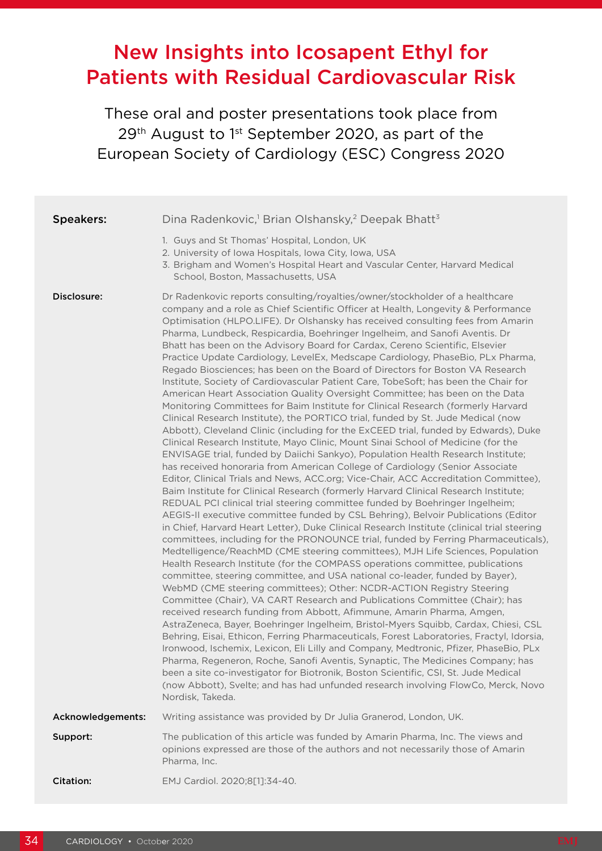# New Insights into Icosapent Ethyl for Patients with Residual Cardiovascular Risk

These oral and poster presentations took place from 29<sup>th</sup> August to 1<sup>st</sup> September 2020, as part of the European Society of Cardiology (ESC) Congress 2020

| <b>Speakers:</b>  | Dina Radenkovic, <sup>1</sup> Brian Olshansky, <sup>2</sup> Deepak Bhatt <sup>3</sup>                                                                                                                                                                                                                                                                                                                                                                                                                                                                                                                                                                                                                                                                                                                                                                                                                                                                                                                                                                                                                                                                                                                                                                                                                                                                                                                                                                                                                                                                                                                                                                                                                                                                                                                                                                                                                                                                                                                                                                                                                                                                                                                                                                                                                                                                                                                                                                                                                                                                                                                                                                                                                                                                                                                                                                                            |
|-------------------|----------------------------------------------------------------------------------------------------------------------------------------------------------------------------------------------------------------------------------------------------------------------------------------------------------------------------------------------------------------------------------------------------------------------------------------------------------------------------------------------------------------------------------------------------------------------------------------------------------------------------------------------------------------------------------------------------------------------------------------------------------------------------------------------------------------------------------------------------------------------------------------------------------------------------------------------------------------------------------------------------------------------------------------------------------------------------------------------------------------------------------------------------------------------------------------------------------------------------------------------------------------------------------------------------------------------------------------------------------------------------------------------------------------------------------------------------------------------------------------------------------------------------------------------------------------------------------------------------------------------------------------------------------------------------------------------------------------------------------------------------------------------------------------------------------------------------------------------------------------------------------------------------------------------------------------------------------------------------------------------------------------------------------------------------------------------------------------------------------------------------------------------------------------------------------------------------------------------------------------------------------------------------------------------------------------------------------------------------------------------------------------------------------------------------------------------------------------------------------------------------------------------------------------------------------------------------------------------------------------------------------------------------------------------------------------------------------------------------------------------------------------------------------------------------------------------------------------------------------------------------------|
|                   | 1. Guys and St Thomas' Hospital, London, UK<br>2. University of Iowa Hospitals, Iowa City, Iowa, USA<br>3. Brigham and Women's Hospital Heart and Vascular Center, Harvard Medical<br>School, Boston, Massachusetts, USA                                                                                                                                                                                                                                                                                                                                                                                                                                                                                                                                                                                                                                                                                                                                                                                                                                                                                                                                                                                                                                                                                                                                                                                                                                                                                                                                                                                                                                                                                                                                                                                                                                                                                                                                                                                                                                                                                                                                                                                                                                                                                                                                                                                                                                                                                                                                                                                                                                                                                                                                                                                                                                                         |
| Disclosure:       | Dr Radenkovic reports consulting/royalties/owner/stockholder of a healthcare<br>company and a role as Chief Scientific Officer at Health, Longevity & Performance<br>Optimisation (HLPO.LIFE). Dr Olshansky has received consulting fees from Amarin<br>Pharma, Lundbeck, Respicardia, Boehringer Ingelheim, and Sanofi Aventis. Dr<br>Bhatt has been on the Advisory Board for Cardax, Cereno Scientific, Elsevier<br>Practice Update Cardiology, LevelEx, Medscape Cardiology, PhaseBio, PLx Pharma,<br>Regado Biosciences; has been on the Board of Directors for Boston VA Research<br>Institute, Society of Cardiovascular Patient Care, TobeSoft; has been the Chair for<br>American Heart Association Quality Oversight Committee; has been on the Data<br>Monitoring Committees for Baim Institute for Clinical Research (formerly Harvard<br>Clinical Research Institute), the PORTICO trial, funded by St. Jude Medical (now<br>Abbott), Cleveland Clinic (including for the ExCEED trial, funded by Edwards), Duke<br>Clinical Research Institute, Mayo Clinic, Mount Sinai School of Medicine (for the<br>ENVISAGE trial, funded by Daiichi Sankyo), Population Health Research Institute;<br>has received honoraria from American College of Cardiology (Senior Associate<br>Editor, Clinical Trials and News, ACC.org; Vice-Chair, ACC Accreditation Committee),<br>Baim Institute for Clinical Research (formerly Harvard Clinical Research Institute;<br>REDUAL PCI clinical trial steering committee funded by Boehringer Ingelheim;<br>AEGIS-II executive committee funded by CSL Behring), Belvoir Publications (Editor<br>in Chief, Harvard Heart Letter), Duke Clinical Research Institute (clinical trial steering<br>committees, including for the PRONOUNCE trial, funded by Ferring Pharmaceuticals),<br>Medtelligence/ReachMD (CME steering committees), MJH Life Sciences, Population<br>Health Research Institute (for the COMPASS operations committee, publications<br>committee, steering committee, and USA national co-leader, funded by Bayer),<br>WebMD (CME steering committees); Other: NCDR-ACTION Registry Steering<br>Committee (Chair), VA CART Research and Publications Committee (Chair); has<br>received research funding from Abbott, Afimmune, Amarin Pharma, Amgen,<br>AstraZeneca, Bayer, Boehringer Ingelheim, Bristol-Myers Squibb, Cardax, Chiesi, CSL<br>Behring, Eisai, Ethicon, Ferring Pharmaceuticals, Forest Laboratories, Fractyl, Idorsia,<br>Ironwood, Ischemix, Lexicon, Eli Lilly and Company, Medtronic, Pfizer, PhaseBio, PLx<br>Pharma, Regeneron, Roche, Sanofi Aventis, Synaptic, The Medicines Company; has<br>been a site co-investigator for Biotronik, Boston Scientific, CSI, St. Jude Medical<br>(now Abbott), Svelte; and has had unfunded research involving FlowCo, Merck, Novo<br>Nordisk, Takeda. |
| Acknowledgements: | Writing assistance was provided by Dr Julia Granerod, London, UK.                                                                                                                                                                                                                                                                                                                                                                                                                                                                                                                                                                                                                                                                                                                                                                                                                                                                                                                                                                                                                                                                                                                                                                                                                                                                                                                                                                                                                                                                                                                                                                                                                                                                                                                                                                                                                                                                                                                                                                                                                                                                                                                                                                                                                                                                                                                                                                                                                                                                                                                                                                                                                                                                                                                                                                                                                |
| Support:          | The publication of this article was funded by Amarin Pharma, Inc. The views and<br>opinions expressed are those of the authors and not necessarily those of Amarin<br>Pharma, Inc.                                                                                                                                                                                                                                                                                                                                                                                                                                                                                                                                                                                                                                                                                                                                                                                                                                                                                                                                                                                                                                                                                                                                                                                                                                                                                                                                                                                                                                                                                                                                                                                                                                                                                                                                                                                                                                                                                                                                                                                                                                                                                                                                                                                                                                                                                                                                                                                                                                                                                                                                                                                                                                                                                               |
| Citation:         | EMJ Cardiol. 2020;8[1]:34-40.                                                                                                                                                                                                                                                                                                                                                                                                                                                                                                                                                                                                                                                                                                                                                                                                                                                                                                                                                                                                                                                                                                                                                                                                                                                                                                                                                                                                                                                                                                                                                                                                                                                                                                                                                                                                                                                                                                                                                                                                                                                                                                                                                                                                                                                                                                                                                                                                                                                                                                                                                                                                                                                                                                                                                                                                                                                    |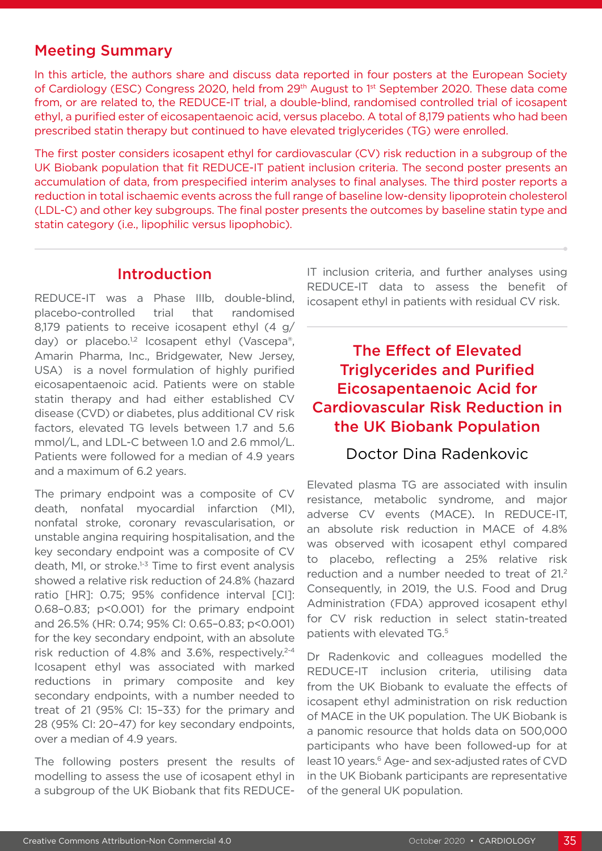# Meeting Summary

In this article, the authors share and discuss data reported in four posters at the European Society of Cardiology (ESC) Congress 2020, held from 29<sup>th</sup> August to 1<sup>st</sup> September 2020. These data come from, or are related to, the REDUCE-IT trial, a double-blind, randomised controlled trial of icosapent ethyl, a purified ester of eicosapentaenoic acid, versus placebo. A total of 8,179 patients who had been prescribed statin therapy but continued to have elevated triglycerides (TG) were enrolled.

The first poster considers icosapent ethyl for cardiovascular (CV) risk reduction in a subgroup of the UK Biobank population that fit REDUCE-IT patient inclusion criteria. The second poster presents an accumulation of data, from prespecified interim analyses to final analyses. The third poster reports a reduction in total ischaemic events across the full range of baseline low-density lipoprotein cholesterol (LDL-C) and other key subgroups. The final poster presents the outcomes by baseline statin type and statin category (i.e., lipophilic versus lipophobic).

### Introduction

REDUCE-IT was a Phase IIIb, double-blind, placebo-controlled trial that randomised 8,179 patients to receive icosapent ethyl (4 g/ day) or placebo.<sup>1,2</sup> Icosapent ethyl (Vascepa®, Amarin Pharma, Inc., Bridgewater, New Jersey, USA) is a novel formulation of highly purified eicosapentaenoic acid. Patients were on stable statin therapy and had either established CV disease (CVD) or diabetes, plus additional CV risk factors, elevated TG levels between 1.7 and 5.6 mmol/L, and LDL-C between 1.0 and 2.6 mmol/L. Patients were followed for a median of 4.9 years and a maximum of 6.2 years.

The primary endpoint was a composite of CV death, nonfatal myocardial infarction (MI), nonfatal stroke, coronary revascularisation, or unstable angina requiring hospitalisation, and the key secondary endpoint was a composite of CV death, MI, or stroke.<sup>1-3</sup> Time to first event analysis showed a relative risk reduction of 24.8% (hazard ratio [HR]: 0.75; 95% confidence interval [CI]: 0.68–0.83; p<0.001) for the primary endpoint and 26.5% (HR: 0.74; 95% CI: 0.65–0.83; p<0.001) for the key secondary endpoint, with an absolute risk reduction of 4.8% and 3.6%, respectively.<sup>2-4</sup> Icosapent ethyl was associated with marked reductions in primary composite and key secondary endpoints, with a number needed to treat of 21 (95% CI: 15–33) for the primary and 28 (95% CI: 20–47) for key secondary endpoints, over a median of 4.9 years.

The following posters present the results of modelling to assess the use of icosapent ethyl in a subgroup of the UK Biobank that fits REDUCE-

IT inclusion criteria, and further analyses using REDUCE-IT data to assess the benefit of icosapent ethyl in patients with residual CV risk.

The Effect of Elevated Triglycerides and Purified Eicosapentaenoic Acid for Cardiovascular Risk Reduction in the UK Biobank Population

#### Doctor Dina Radenkovic

Elevated plasma TG are associated with insulin resistance, metabolic syndrome, and major adverse CV events (MACE). In REDUCE-IT, an absolute risk reduction in MACE of 4.8% was observed with icosapent ethyl compared to placebo, reflecting a 25% relative risk reduction and a number needed to treat of 21.2 Consequently, in 2019, the U.S. Food and Drug Administration (FDA) approved icosapent ethyl for CV risk reduction in select statin-treated patients with elevated TG.5

Dr Radenkovic and colleagues modelled the REDUCE-IT inclusion criteria, utilising data from the UK Biobank to evaluate the effects of icosapent ethyl administration on risk reduction of MACE in the UK population. The UK Biobank is a panomic resource that holds data on 500,000 participants who have been followed-up for at least 10 years.<sup>6</sup> Age- and sex-adjusted rates of CVD in the UK Biobank participants are representative of the general UK population.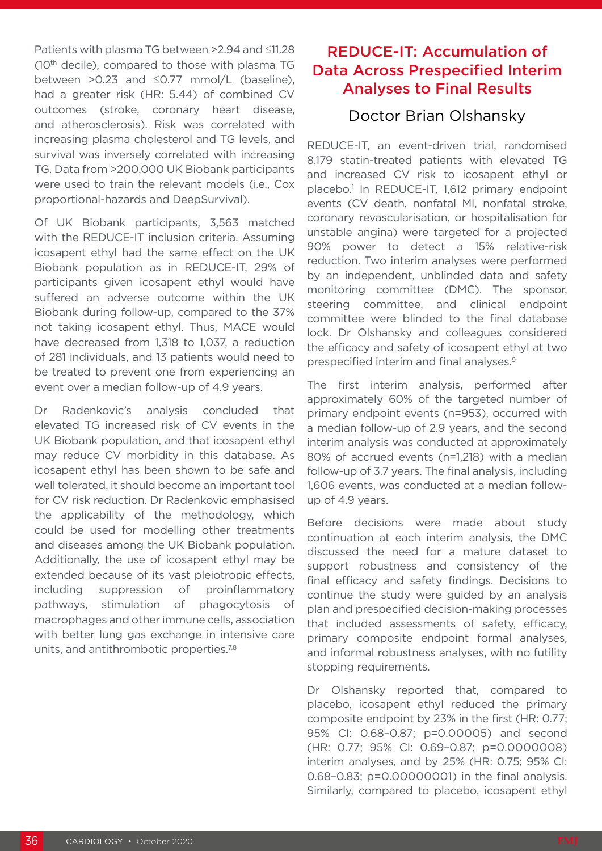Patients with plasma TG between >2.94 and ≤11.28  $(10<sup>th</sup>$  decile), compared to those with plasma TG between >0.23 and ≤0.77 mmol/L (baseline), had a greater risk (HR: 5.44) of combined CV outcomes (stroke, coronary heart disease, and atherosclerosis). Risk was correlated with increasing plasma cholesterol and TG levels, and survival was inversely correlated with increasing TG. Data from >200,000 UK Biobank participants were used to train the relevant models (i.e., Cox proportional-hazards and DeepSurvival).

Of UK Biobank participants, 3,563 matched with the REDUCE-IT inclusion criteria. Assuming icosapent ethyl had the same effect on the UK Biobank population as in REDUCE-IT, 29% of participants given icosapent ethyl would have suffered an adverse outcome within the UK Biobank during follow-up, compared to the 37% not taking icosapent ethyl. Thus, MACE would have decreased from 1,318 to 1,037, a reduction of 281 individuals, and 13 patients would need to be treated to prevent one from experiencing an event over a median follow-up of 4.9 years.

Dr Radenkovic's analysis concluded that elevated TG increased risk of CV events in the UK Biobank population, and that icosapent ethyl may reduce CV morbidity in this database. As icosapent ethyl has been shown to be safe and well tolerated, it should become an important tool for CV risk reduction. Dr Radenkovic emphasised the applicability of the methodology, which could be used for modelling other treatments and diseases among the UK Biobank population. Additionally, the use of icosapent ethyl may be extended because of its vast pleiotropic effects, including suppression of proinflammatory pathways, stimulation of phagocytosis of macrophages and other immune cells, association with better lung gas exchange in intensive care units, and antithrombotic properties.<sup>7,8</sup>

# REDUCE-IT: Accumulation of Data Across Prespecified Interim Analyses to Final Results

### Doctor Brian Olshansky

REDUCE-IT, an event-driven trial, randomised 8,179 statin-treated patients with elevated TG and increased CV risk to icosapent ethyl or placebo.<sup>1</sup> In REDUCE-IT, 1,612 primary endpoint events (CV death, nonfatal MI, nonfatal stroke, coronary revascularisation, or hospitalisation for unstable angina) were targeted for a projected 90% power to detect a 15% relative-risk reduction. Two interim analyses were performed by an independent, unblinded data and safety monitoring committee (DMC). The sponsor, steering committee, and clinical endpoint committee were blinded to the final database lock. Dr Olshansky and colleagues considered the efficacy and safety of icosapent ethyl at two prespecified interim and final analyses.9

The first interim analysis, performed after approximately 60% of the targeted number of primary endpoint events (n=953), occurred with a median follow-up of 2.9 years, and the second interim analysis was conducted at approximately 80% of accrued events (n=1,218) with a median follow-up of 3.7 years. The final analysis, including 1,606 events, was conducted at a median followup of 4.9 years.

Before decisions were made about study continuation at each interim analysis, the DMC discussed the need for a mature dataset to support robustness and consistency of the final efficacy and safety findings. Decisions to continue the study were guided by an analysis plan and prespecified decision-making processes that included assessments of safety, efficacy, primary composite endpoint formal analyses, and informal robustness analyses, with no futility stopping requirements.

Dr Olshansky reported that, compared to placebo, icosapent ethyl reduced the primary composite endpoint by 23% in the first (HR: 0.77; 95% CI: 0.68–0.87; p=0.00005) and second (HR: 0.77; 95% CI: 0.69–0.87; p=0.0000008) interim analyses, and by 25% (HR: 0.75; 95% CI: 0.68–0.83; p=0.00000001) in the final analysis. Similarly, compared to placebo, icosapent ethyl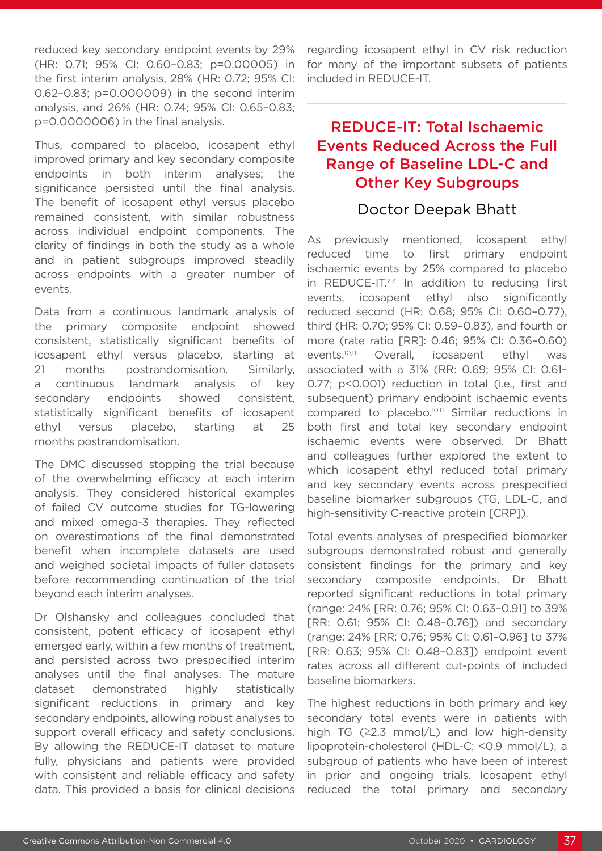reduced key secondary endpoint events by 29% (HR: 0.71; 95% CI: 0.60–0.83; p=0.00005) in the first interim analysis, 28% (HR: 0.72; 95% CI: 0.62–0.83; p=0.000009) in the second interim analysis, and 26% (HR: 0.74; 95% CI: 0.65–0.83; p=0.0000006) in the final analysis.

Thus, compared to placebo, icosapent ethyl improved primary and key secondary composite endpoints in both interim analyses; the significance persisted until the final analysis. The benefit of icosapent ethyl versus placebo remained consistent, with similar robustness across individual endpoint components. The clarity of findings in both the study as a whole and in patient subgroups improved steadily across endpoints with a greater number of events.

Data from a continuous landmark analysis of the primary composite endpoint showed consistent, statistically significant benefits of icosapent ethyl versus placebo, starting at 21 months postrandomisation. Similarly, a continuous landmark analysis of key secondary endpoints showed consistent, statistically significant benefits of icosapent ethyl versus placebo, starting at 25 months postrandomisation.

The DMC discussed stopping the trial because of the overwhelming efficacy at each interim analysis. They considered historical examples of failed CV outcome studies for TG-lowering and mixed omega-3 therapies. They reflected on overestimations of the final demonstrated benefit when incomplete datasets are used and weighed societal impacts of fuller datasets before recommending continuation of the trial beyond each interim analyses.

Dr Olshansky and colleagues concluded that consistent, potent efficacy of icosapent ethyl emerged early, within a few months of treatment, and persisted across two prespecified interim analyses until the final analyses. The mature dataset demonstrated highly statistically significant reductions in primary and key secondary endpoints, allowing robust analyses to support overall efficacy and safety conclusions. By allowing the REDUCE-IT dataset to mature fully, physicians and patients were provided with consistent and reliable efficacy and safety data. This provided a basis for clinical decisions

regarding icosapent ethyl in CV risk reduction for many of the important subsets of patients included in REDUCE-IT.

# REDUCE-IT: Total Ischaemic Events Reduced Across the Full Range of Baseline LDL-C and Other Key Subgroups

#### Doctor Deepak Bhatt

As previously mentioned, icosapent ethyl reduced time to first primary endpoint ischaemic events by 25% compared to placebo in REDUCE-IT. $2,3$  In addition to reducing first events, icosapent ethyl also significantly reduced second (HR: 0.68; 95% CI: 0.60–0.77), third (HR: 0.70; 95% CI: 0.59–0.83), and fourth or more (rate ratio [RR]: 0.46; 95% CI: 0.36–0.60) events.10,11 Overall, icosapent ethyl was associated with a 31% (RR: 0.69; 95% CI: 0.61– 0.77; p<0.001) reduction in total (i.e., first and subsequent) primary endpoint ischaemic events compared to placebo.10,11 Similar reductions in both first and total key secondary endpoint ischaemic events were observed. Dr Bhatt and colleagues further explored the extent to which icosapent ethyl reduced total primary and key secondary events across prespecified baseline biomarker subgroups (TG, LDL-C, and high-sensitivity C-reactive protein [CRP]).

Total events analyses of prespecified biomarker subgroups demonstrated robust and generally consistent findings for the primary and key secondary composite endpoints. Dr Bhatt reported significant reductions in total primary (range: 24% [RR: 0.76; 95% CI: 0.63–0.91] to 39% [RR: 0.61; 95% CI: 0.48–0.76]) and secondary (range: 24% [RR: 0.76; 95% CI: 0.61–0.96] to 37% [RR: 0.63; 95% CI: 0.48–0.83]) endpoint event rates across all different cut-points of included baseline biomarkers.

The highest reductions in both primary and key secondary total events were in patients with high TG ( $\geq$ 2.3 mmol/L) and low high-density lipoprotein-cholesterol (HDL-C; <0.9 mmol/L), a subgroup of patients who have been of interest in prior and ongoing trials. Icosapent ethyl reduced the total primary and secondary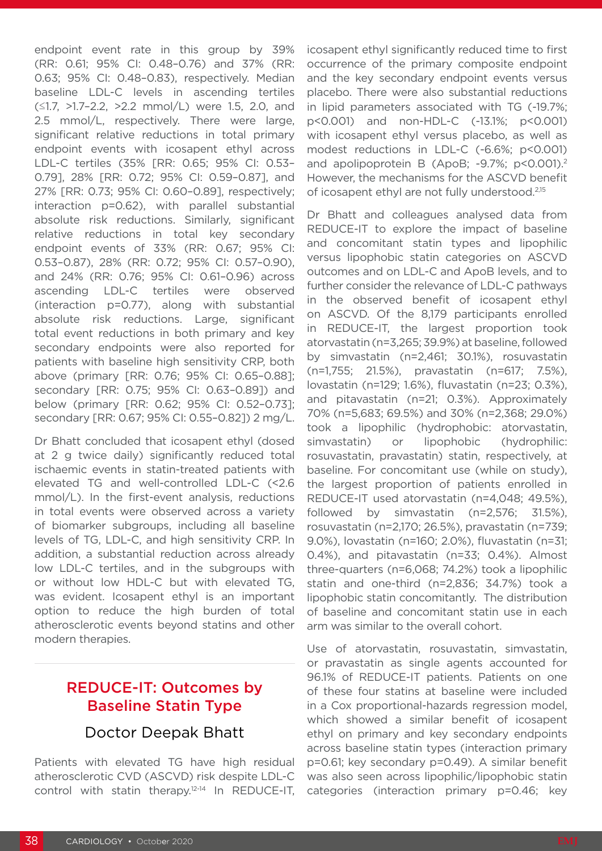endpoint event rate in this group by 39% (RR: 0.61; 95% CI: 0.48–0.76) and 37% (RR: 0.63; 95% CI: 0.48–0.83), respectively. Median baseline LDL-C levels in ascending tertiles (≤1.7, >1.7–2.2, >2.2 mmol/L) were 1.5, 2.0, and 2.5 mmol/L, respectively. There were large, significant relative reductions in total primary endpoint events with icosapent ethyl across LDL-C tertiles (35% [RR: 0.65; 95% CI: 0.53– 0.79], 28% [RR: 0.72; 95% CI: 0.59–0.87], and 27% [RR: 0.73; 95% CI: 0.60–0.89], respectively; interaction p=0.62), with parallel substantial absolute risk reductions. Similarly, significant relative reductions in total key secondary endpoint events of 33% (RR: 0.67; 95% CI: 0.53–0.87), 28% (RR: 0.72; 95% CI: 0.57–0.90), and 24% (RR: 0.76; 95% CI: 0.61–0.96) across ascending LDL-C tertiles were observed (interaction p=0.77), along with substantial absolute risk reductions. Large, significant total event reductions in both primary and key secondary endpoints were also reported for patients with baseline high sensitivity CRP, both above (primary [RR: 0.76; 95% CI: 0.65–0.88]; secondary [RR: 0.75; 95% CI: 0.63–0.89]) and below (primary [RR: 0.62; 95% CI: 0.52–0.73]; secondary [RR: 0.67; 95% CI: 0.55–0.82]) 2 mg/L.

Dr Bhatt concluded that icosapent ethyl (dosed at 2 g twice daily) significantly reduced total ischaemic events in statin-treated patients with elevated TG and well-controlled LDL-C (<2.6 mmol/L). In the first-event analysis, reductions in total events were observed across a variety of biomarker subgroups, including all baseline levels of TG, LDL-C, and high sensitivity CRP. In addition, a substantial reduction across already low LDL-C tertiles, and in the subgroups with or without low HDL-C but with elevated TG, was evident. Icosapent ethyl is an important option to reduce the high burden of total atherosclerotic events beyond statins and other modern therapies.

# REDUCE-IT: Outcomes by Baseline Statin Type

# Doctor Deepak Bhatt

Patients with elevated TG have high residual atherosclerotic CVD (ASCVD) risk despite LDL-C control with statin therapy.12-14 In REDUCE-IT,

icosapent ethyl significantly reduced time to first occurrence of the primary composite endpoint and the key secondary endpoint events versus placebo. There were also substantial reductions in lipid parameters associated with TG (-19.7%; p<0.001) and non-HDL-C (-13.1%; p<0.001) with icosapent ethyl versus placebo, as well as modest reductions in LDL-C (-6.6%; p<0.001) and apolipoprotein B (ApoB; -9.7%; p<0.001).<sup>2</sup> However, the mechanisms for the ASCVD benefit of icosapent ethyl are not fully understood.<sup>2,15</sup>

Dr Bhatt and colleagues analysed data from REDUCE-IT to explore the impact of baseline and concomitant statin types and lipophilic versus lipophobic statin categories on ASCVD outcomes and on LDL-C and ApoB levels, and to further consider the relevance of LDL-C pathways in the observed benefit of icosapent ethyl on ASCVD. Of the 8,179 participants enrolled in REDUCE-IT, the largest proportion took atorvastatin (n=3,265; 39.9%) at baseline, followed by simvastatin (n=2,461; 30.1%), rosuvastatin (n=1,755; 21.5%), pravastatin (n=617; 7.5%), lovastatin (n=129; 1.6%), fluvastatin (n=23; 0.3%), and pitavastatin (n=21; 0.3%). Approximately 70% (n=5,683; 69.5%) and 30% (n=2,368; 29.0%) took a lipophilic (hydrophobic: atorvastatin, simvastatin) or lipophobic (hydrophilic: rosuvastatin, pravastatin) statin, respectively, at baseline. For concomitant use (while on study), the largest proportion of patients enrolled in REDUCE-IT used atorvastatin (n=4,048; 49.5%), followed by simvastatin (n=2,576; 31.5%), rosuvastatin (n=2,170; 26.5%), pravastatin (n=739; 9.0%), lovastatin (n=160; 2.0%), fluvastatin (n=31; 0.4%), and pitavastatin (n=33; 0.4%). Almost three-quarters (n=6,068; 74.2%) took a lipophilic statin and one-third (n=2,836; 34.7%) took a lipophobic statin concomitantly. The distribution of baseline and concomitant statin use in each arm was similar to the overall cohort.

Use of atorvastatin, rosuvastatin, simvastatin, or pravastatin as single agents accounted for 96.1% of REDUCE-IT patients. Patients on one of these four statins at baseline were included in a Cox proportional-hazards regression model, which showed a similar benefit of icosapent ethyl on primary and key secondary endpoints across baseline statin types (interaction primary p=0.61; key secondary p=0.49). A similar benefit was also seen across lipophilic/lipophobic statin categories (interaction primary p=0.46; key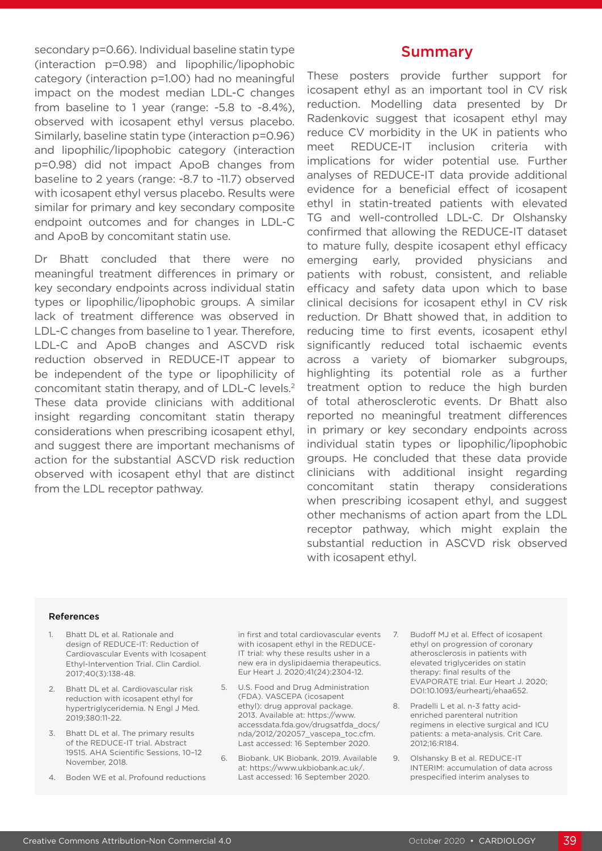secondary p=0.66). Individual baseline statin type (interaction p=0.98) and lipophilic/lipophobic category (interaction p=1.00) had no meaningful impact on the modest median LDL-C changes from baseline to 1 year (range: -5.8 to -8.4%), observed with icosapent ethyl versus placebo. Similarly, baseline statin type (interaction p=0.96) and lipophilic/lipophobic category (interaction p=0.98) did not impact ApoB changes from baseline to 2 years (range: -8.7 to -11.7) observed with icosapent ethyl versus placebo. Results were similar for primary and key secondary composite endpoint outcomes and for changes in LDL-C and ApoB by concomitant statin use.

Dr Bhatt concluded that there were no meaningful treatment differences in primary or key secondary endpoints across individual statin types or lipophilic/lipophobic groups. A similar lack of treatment difference was observed in LDL-C changes from baseline to 1 year. Therefore, LDL-C and ApoB changes and ASCVD risk reduction observed in REDUCE-IT appear to be independent of the type or lipophilicity of concomitant statin therapy, and of LDL-C levels.2 These data provide clinicians with additional insight regarding concomitant statin therapy considerations when prescribing icosapent ethyl, and suggest there are important mechanisms of action for the substantial ASCVD risk reduction observed with icosapent ethyl that are distinct from the LDL receptor pathway.

#### Summary

These posters provide further support for icosapent ethyl as an important tool in CV risk reduction. Modelling data presented by Dr Radenkovic suggest that icosapent ethyl may reduce CV morbidity in the UK in patients who meet REDUCE-IT inclusion criteria with implications for wider potential use. Further analyses of REDUCE-IT data provide additional evidence for a beneficial effect of icosapent ethyl in statin-treated patients with elevated TG and well-controlled LDL-C. Dr Olshansky confirmed that allowing the REDUCE-IT dataset to mature fully, despite icosapent ethyl efficacy emerging early, provided physicians and patients with robust, consistent, and reliable efficacy and safety data upon which to base clinical decisions for icosapent ethyl in CV risk reduction. Dr Bhatt showed that, in addition to reducing time to first events, icosapent ethyl significantly reduced total ischaemic events across a variety of biomarker subgroups, highlighting its potential role as a further treatment option to reduce the high burden of total atherosclerotic events. Dr Bhatt also reported no meaningful treatment differences in primary or key secondary endpoints across individual statin types or lipophilic/lipophobic groups. He concluded that these data provide clinicians with additional insight regarding concomitant statin therapy considerations when prescribing icosapent ethyl, and suggest other mechanisms of action apart from the LDL receptor pathway, which might explain the substantial reduction in ASCVD risk observed with icosapent ethyl.

#### References

- 1. Bhatt DL et al. Rationale and design of REDUCE-IT: Reduction of Cardiovascular Events with Icosapent Ethyl-Intervention Trial. Clin Cardiol. 2017;40(3):138-48.
- 2. Bhatt DL et al. Cardiovascular risk reduction with icosapent ethyl for hypertriglyceridemia. N Engl J Med. 2019;380:11-22.
- 3. Bhatt DL et al. The primary results of the REDUCE-IT trial. Abstract 19515. AHA Scientific Sessions, 10–12 November, 2018.
- 4. Boden WE et al. Profound reductions

in first and total cardiovascular events with icosapent ethyl in the REDUCE-IT trial: why these results usher in a new era in dyslipidaemia therapeutics. Eur Heart J. 2020;41(24):2304-12.

- 5. U.S. Food and Drug Administration (FDA). VASCEPA (icosapent ethyl): drug approval package. 2013. Available at: https://www. accessdata.fda.gov/drugsatfda\_docs/ nda/2012/202057\_vascepa\_toc.cfm. Last accessed: 16 September 2020.
- 6. Biobank. UK Biobank. 2019. Available at: https://www.ukbiobank.ac.uk/. Last accessed: 16 September 2020.
- 7. Budoff MJ et al. Effect of icosapent ethyl on progression of coronary atherosclerosis in patients with elevated triglycerides on statin therapy: final results of the EVAPORATE trial. Eur Heart J. 2020; DOI:10.1093/eurheartj/ehaa652.
- 8. Pradelli L et al. n-3 fatty acidenriched parenteral nutrition regimens in elective surgical and ICU patients: a meta-analysis. Crit Care. 2012;16:R184.
- 9. Olshansky B et al. REDUCE-IT INTERIM: accumulation of data across prespecified interim analyses to